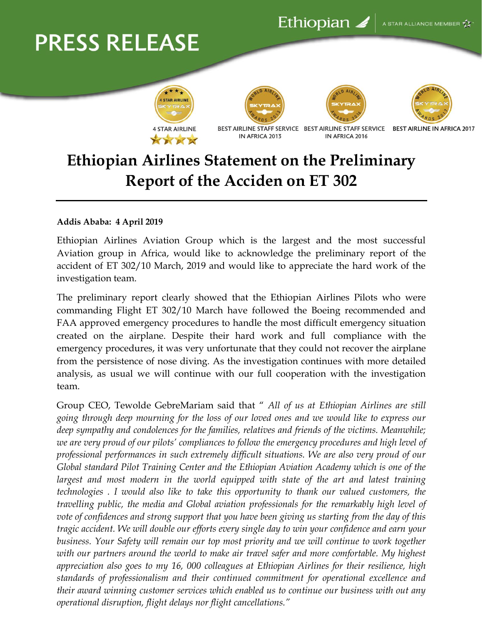## **PRESS RELEASE**









BEST AIRLINE STAFF SERVICE BEST AIRLINE STAFF SERVICE IN AFRICA 2013 IN AFRICA 2016

**BEST AIRLINE IN AFRICA 2017** 

## **Ethiopian Airlines Statement on the Preliminary Report of the Acciden on ET 302**

## **Addis Ababa: 4 April 2019**

Ethiopian Airlines Aviation Group which is the largest and the most successful Aviation group in Africa, would like to acknowledge the preliminary report of the accident of ET 302/10 March, 2019 and would like to appreciate the hard work of the investigation team.

The preliminary report clearly showed that the Ethiopian Airlines Pilots who were commanding Flight ET 302/10 March have followed the Boeing recommended and FAA approved emergency procedures to handle the most difficult emergency situation created on the airplane. Despite their hard work and full compliance with the emergency procedures, it was very unfortunate that they could not recover the airplane from the persistence of nose diving. As the investigation continues with more detailed analysis, as usual we will continue with our full cooperation with the investigation team.

Group CEO, Tewolde GebreMariam said that " *All of us at Ethiopian Airlines are still going through deep mourning for the loss of our loved ones and we would like to express our deep sympathy and condolences for the families, relatives and friends of the victims. Meanwhile; we are very proud of our pilots' compliances to follow the emergency procedures and high level of professional performances in such extremely difficult situations. We are also very proud of our Global standard Pilot Training Center and the Ethiopian Aviation Academy which is one of the largest and most modern in the world equipped with state of the art and latest training technologies . I would also like to take this opportunity to thank our valued customers, the travelling public, the media and Global aviation professionals for the remarkably high level of vote of confidences and strong support that you have been giving us starting from the day of this tragic accident. We will double our efforts every single day to win your confidence and earn your business. Your Safety will remain our top most priority and we will continue to work together with our partners around the world to make air travel safer and more comfortable. My highest appreciation also goes to my 16, 000 colleagues at Ethiopian Airlines for their resilience, high standards of professionalism and their continued commitment for operational excellence and their award winning customer services which enabled us to continue our business with out any operational disruption, flight delays nor flight cancellations."*